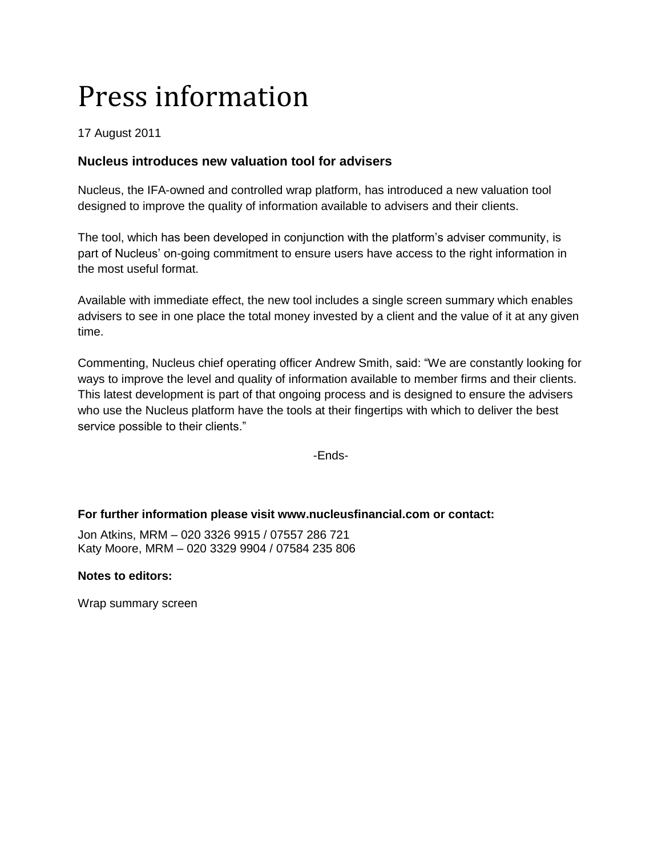# Press information

## 17 August 2011

## **Nucleus introduces new valuation tool for advisers**

Nucleus, the IFA-owned and controlled wrap platform, has introduced a new valuation tool designed to improve the quality of information available to advisers and their clients.

The tool, which has been developed in conjunction with the platform's adviser community, is part of Nucleus' on-going commitment to ensure users have access to the right information in the most useful format.

Available with immediate effect, the new tool includes a single screen summary which enables advisers to see in one place the total money invested by a client and the value of it at any given time.

Commenting, Nucleus chief operating officer Andrew Smith, said: "We are constantly looking for ways to improve the level and quality of information available to member firms and their clients. This latest development is part of that ongoing process and is designed to ensure the advisers who use the Nucleus platform have the tools at their fingertips with which to deliver the best service possible to their clients."

-Ends-

### **For further information please visit www.nucleusfinancial.com or contact:**

Jon Atkins, MRM – 020 3326 9915 / 07557 286 721 Katy Moore, MRM – 020 3329 9904 / 07584 235 806

#### **Notes to editors:**

Wrap summary screen